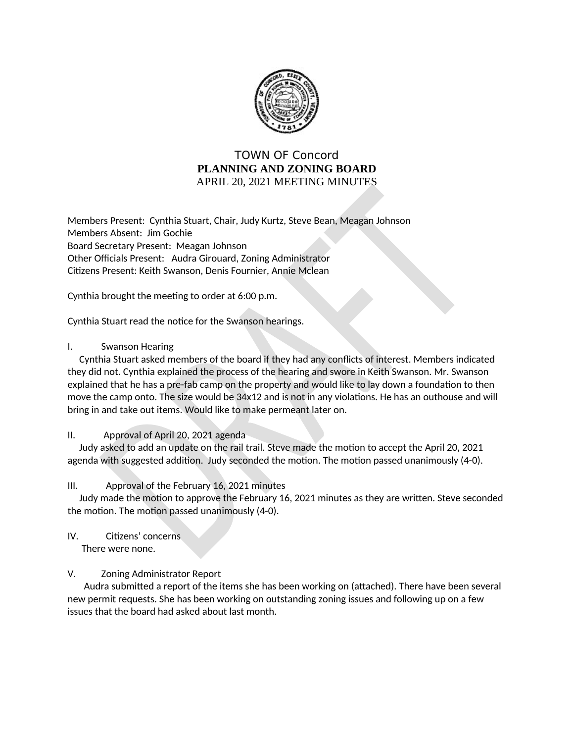

# **TOWN OF Concord** PLANNING AND ZONING BOARD APRIL 20, 2021 MEETING MINUTES

Members Present: Cynthia Stuart, Chair, Judy Kurtz, Steve Bean, Meagan Johnson Members Absent: Jim Gochie Board Secretary Present: Meagan Johnson Other Officials Present: Audra Girouard, Zoning Administrator Citizens Present: Keith Swanson, Denis Fournier, Annie Mclean

Cynthia brought the meeting to order at 6:00 p.m.

Cynthia Stuart read the notice for the Swanson hearings.

# $\mathsf{L}$ **Swanson Hearing**

Cynthia Stuart asked members of the board if they had any conflicts of interest. Members indicated they did not. Cynthia explained the process of the hearing and swore in Keith Swanson. Mr. Swanson explained that he has a pre-fab camp on the property and would like to lay down a foundation to then move the camp onto. The size would be 34x12 and is not in any violations. He has an outhouse and will bring in and take out items. Would like to make permeant later on.

# $II.$ Approval of April 20, 2021 agenda

Judy asked to add an update on the rail trail. Steve made the motion to accept the April 20, 2021 agenda with suggested addition. Judy seconded the motion. The motion passed unanimously (4-0).

 $III.$ Approval of the February 16, 2021 minutes

Judy made the motion to approve the February 16, 2021 minutes as they are written. Steve seconded the motion. The motion passed unanimously (4-0).

Citizens' concerns IV. There were none.

# V. **Zoning Administrator Report**

Audra submitted a report of the items she has been working on (attached). There have been several new permit requests. She has been working on outstanding zoning issues and following up on a few issues that the board had asked about last month.